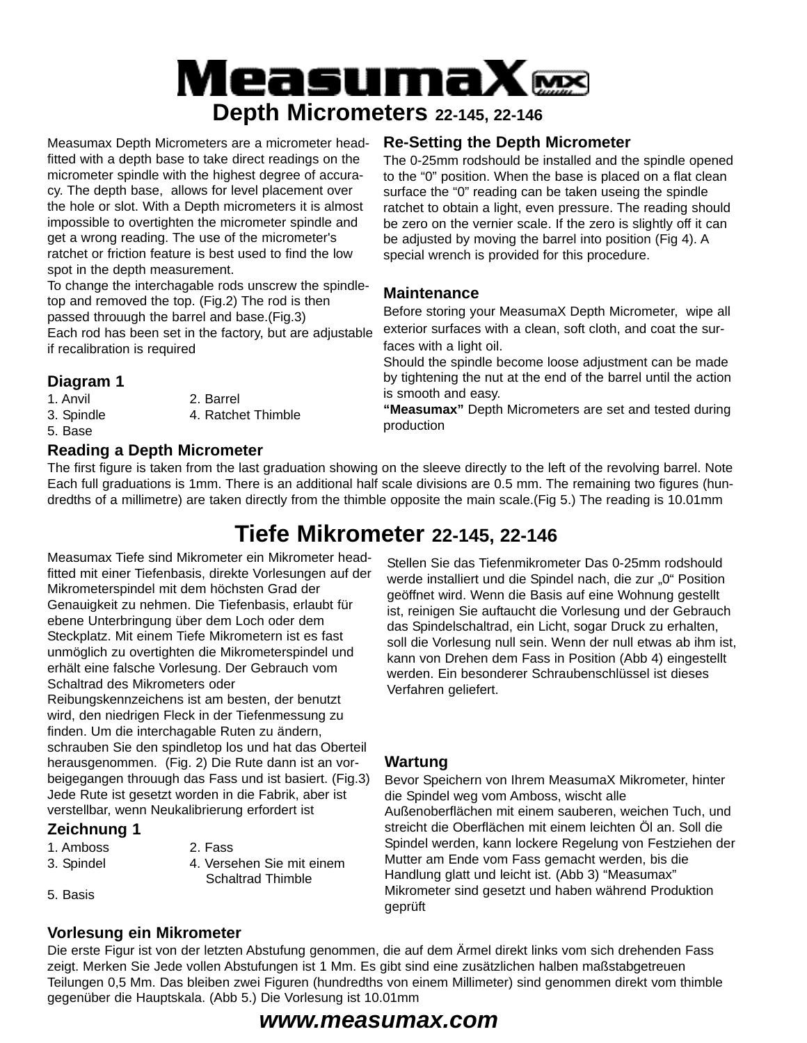# MeasumaXœ **Depth Micrometers 22-145, 22-146**

Measumax Depth Micrometers are a micrometer headfitted with a depth base to take direct readings on the micrometer spindle with the highest degree of accuracy. The depth base, allows for level placement over the hole or slot. With a Depth micrometers it is almost impossible to overtighten the micrometer spindle and get a wrong reading. The use of the micrometer's ratchet or friction feature is best used to find the low spot in the depth measurement.

To change the interchagable rods unscrew the spindletop and removed the top. (Fig.2) The rod is then passed throuugh the barrel and base.(Fig.3) Each rod has been set in the factory, but are adjustable if recalibration is required

### **Diagram 1**

1. Anvil 2. Barrel 3. Spindle 4. Ratchet Thimble 5. Base

**Reading a Depth Micrometer**

### **Re-Setting the Depth Micrometer**

The 0-25mm rodshould be installed and the spindle opened to the "0" position. When the base is placed on a flat clean surface the "0" reading can be taken useing the spindle ratchet to obtain a light, even pressure. The reading should be zero on the vernier scale. If the zero is slightly off it can be adjusted by moving the barrel into position (Fig 4). A special wrench is provided for this procedure.

### **Maintenance**

Before storing your MeasumaX Depth Micrometer, wipe all exterior surfaces with a clean, soft cloth, and coat the surfaces with a light oil.

Should the spindle become loose adjustment can be made by tightening the nut at the end of the barrel until the action is smooth and easy.

**"Measumax"** Depth Micrometers are set and tested during production

The first figure is taken from the last graduation showing on the sleeve directly to the left of the revolving barrel. Note Each full graduations is 1mm. There is an additional half scale divisions are 0.5 mm. The remaining two figures (hundredths of a millimetre) are taken directly from the thimble opposite the main scale.(Fig 5.) The reading is 10.01mm

## **Tiefe Mikrometer 22-145, 22-146**

Measumax Tiefe sind Mikrometer ein Mikrometer headfitted mit einer Tiefenbasis, direkte Vorlesungen auf der Mikrometerspindel mit dem höchsten Grad der Genauigkeit zu nehmen. Die Tiefenbasis, erlaubt für ebene Unterbringung über dem Loch oder dem Steckplatz. Mit einem Tiefe Mikrometern ist es fast unmöglich zu overtighten die Mikrometerspindel und erhält eine falsche Vorlesung. Der Gebrauch vom Schaltrad des Mikrometers oder Reibungskennzeichens ist am besten, der benutzt wird, den niedrigen Fleck in der Tiefenmessung zu finden. Um die interchagable Ruten zu ändern, schrauben Sie den spindletop los und hat das Oberteil herausgenommen. (Fig. 2) Die Rute dann ist an vorbeigegangen throuugh das Fass und ist basiert. (Fig.3) Jede Rute ist gesetzt worden in die Fabrik, aber ist verstellbar, wenn Neukalibrierung erfordert ist

### **Zeichnung 1**

- 1. Amboss 2. Fass
- 
- 3. Spindel 4. Versehen Sie mit einem Schaltrad Thimble
- 5. Basis

### **Vorlesung ein Mikrometer**

Stellen Sie das Tiefenmikrometer Das 0-25mm rodshould werde installiert und die Spindel nach, die zur "0" Position geöffnet wird. Wenn die Basis auf eine Wohnung gestellt ist, reinigen Sie auftaucht die Vorlesung und der Gebrauch das Spindelschaltrad, ein Licht, sogar Druck zu erhalten, soll die Vorlesung null sein. Wenn der null etwas ab ihm ist, kann von Drehen dem Fass in Position (Abb 4) eingestellt werden. Ein besonderer Schraubenschlüssel ist dieses Verfahren geliefert.

### **Wartung**

Bevor Speichern von Ihrem MeasumaX Mikrometer, hinter die Spindel weg vom Amboss, wischt alle Außenoberflächen mit einem sauberen, weichen Tuch, und streicht die Oberflächen mit einem leichten Öl an. Soll die Spindel werden, kann lockere Regelung von Festziehen der Mutter am Ende vom Fass gemacht werden, bis die Handlung glatt und leicht ist. (Abb 3) "Measumax" Mikrometer sind gesetzt und haben während Produktion geprüft

Die erste Figur ist von der letzten Abstufung genommen, die auf dem Ärmel direkt links vom sich drehenden Fass zeigt. Merken Sie Jede vollen Abstufungen ist 1 Mm. Es gibt sind eine zusätzlichen halben maßstabgetreuen Teilungen 0,5 Mm. Das bleiben zwei Figuren (hundredths von einem Millimeter) sind genommen direkt vom thimble gegenüber die Hauptskala. (Abb 5.) Die Vorlesung ist 10.01mm

### *www.measumax.com*